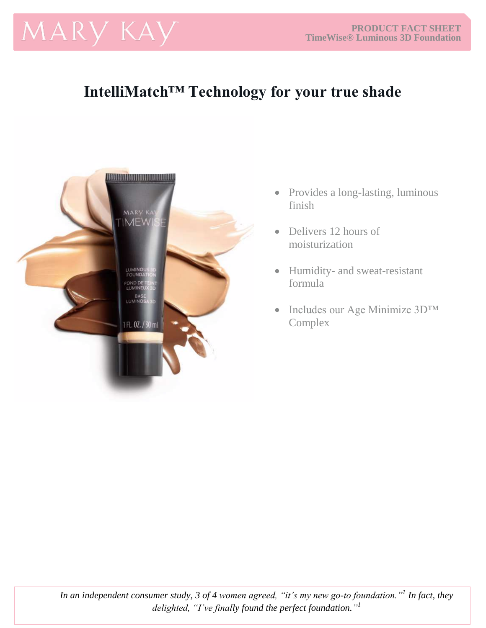# MARY KAY

## **IntelliMatch™ Technology for your true shade**



- Provides a long-lasting, luminous finish
- Delivers 12 hours of moisturization
- Humidity- and sweat-resistant formula
- Includes our Age Minimize 3D™ Complex

*In an independent consumer study, 3 of 4 women agreed, "it's my new go-to foundation."<sup>1</sup> In fact, they delighted, "I've finally found the perfect foundation." 1*